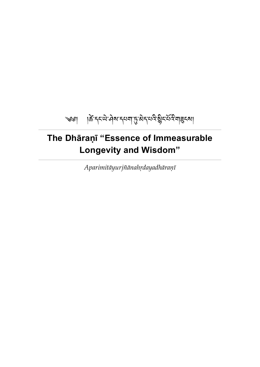<span id="page-0-0"></span>

# **The Dhāraṇī "Essence of Immeasurable Longevity and Wisdom"**

*Aparimitāyurjñānahṛdayadhāraṇī*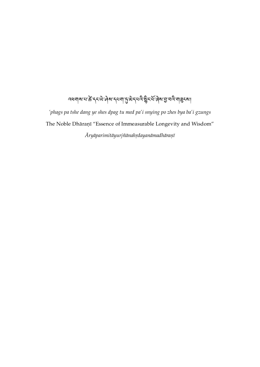# ব্ধনাৰ মাক্ট দৃষ্ণা দিব পৰা দুজি বিদ্যুত্ত বিধানী প্ৰদৰ্শ।

*'phags pa tshe dang ye shes dpag tu med pa'i snying po zhes bya ba'i gzungs* The Noble Dhāraṇī "Essence of Immeasurable Longevity and Wisdom" *Āryāparimitāyurjñānahṛdayanāmadhāraṇī*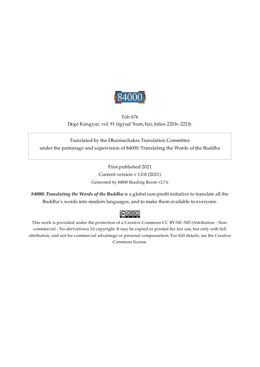

<span id="page-2-0"></span>Toh 676 Degé Kangyur, vol. 91 (rgyud 'bum, ba), folios 220.b–222.b.

Translated by the Dharmachakra Translation Committee under the patronage and supervision of 84000: Translating the Words of the Buddha

> First published 2021 Current version v 1.0.8 (2021) Generated by 84000 Reading Room v2.7.6

*84000: Translating the Words of the Buddha* is a global non-profit initiative to translate all the Buddha's words into modern languages, and to make them available to everyone.

## $\bigcirc$  000

This work is provided under the protection of a Creative Commons CC BY-NC-ND (Attribution - Noncommercial - No-derivatives) 3.0 copyright. It may be copied or printed for fair use, but only with full attribution, and not for commercial advantage or personal compensation. For full details, see the Creative Commons license.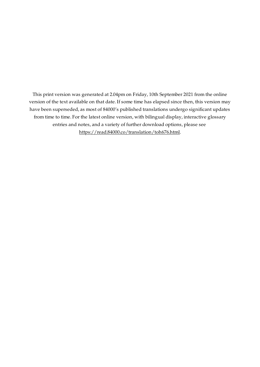This print version was generated at 2.04pm on Friday, 10th September 2021 from the online version of the text available on that date. If some time has elapsed since then, this version may have been superseded, as most of 84000's published translations undergo significant updates from time to time. For the latest online version, with bilingual display, interactive glossary entries and notes, and a variety of further download options, please see [https://read.84000.co/translation/toh676.html.](https://read.84000.co/translation/toh676.html)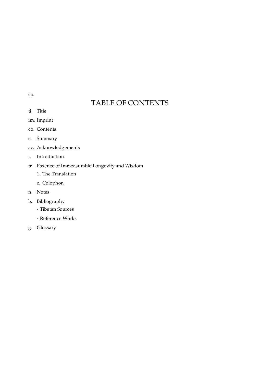<span id="page-4-0"></span>[co.](#page-4-0)

# TABLE OF CONTENTS

- ti. [Title](#page-0-0)
- im. [Imprint](#page-2-0)
- co. [Contents](#page-4-0)
- s. [Summary](#page-5-0)
- ac. [Acknowledgements](#page-6-0)
- i. [Introduction](#page-7-0)
- tr. Essence of [Immeasurable](#page-10-0) Longevity and Wisdom
	- 1. The [Translation](#page-11-0)
	- c. [Colophon](#page-14-0)
- n. [Notes](#page-15-0)
- b. [Bibliography](#page-18-0)
	- · Tibetan [Sources](#page-18-1)
	- · [Reference](#page-19-0) Works
- g. [Glossary](#page-21-0)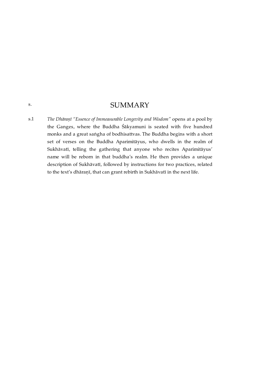### SUMMARY

<span id="page-5-1"></span><span id="page-5-0"></span>*The Dhāraṇī "Essence of Immeasurable Longevity and Wisdom"* opens at a pool by the Ganges, where the Buddha Śākyamuni is seated with five hundred monks and a great saṅgha of bodhisattvas. The Buddha begins with a short set of verses on the Buddha Aparimitāyus, who dwells in the realm of Sukhāvatī, telling the gathering that anyone who recites Aparimitāyus' name will be reborn in that buddha's realm. He then provides a unique description of Sukhāvatī, followed by instructions for two practices, related to the text's dhāraṇī, that can grant rebirth in Sukhāvatī in the next life. [s.1](#page-5-1)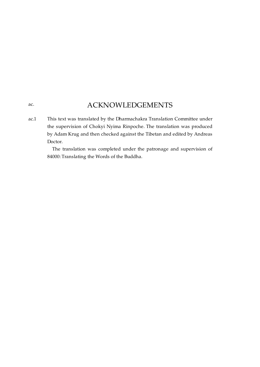## ACKNOWLEDGEMENTS

<span id="page-6-1"></span><span id="page-6-0"></span>This text was translated by the Dharmachakra Translation Committee under the supervision of Chokyi Nyima Rinpoche. The translation was produced by Adam Krug and then checked against the Tibetan and edited by Andreas Doctor. [ac.1](#page-6-1)

> The translation was completed under the patronage and supervision of 84000: Translating the Words of the Buddha.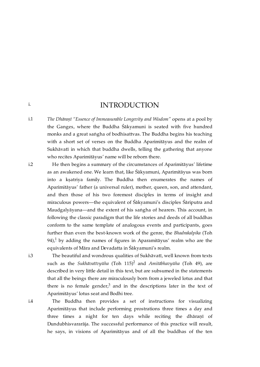### INTRODUCTION

<span id="page-7-1"></span>*The Dhāraṇī "Essence of Immeasurable Longevity and Wisdom"* opens at a pool by the Ganges, where the Buddha Śākyamuni is seated with five hundred monks and a great saṅgha of bodhisattvas. The Buddha begins his teaching with a short set of verses on the Buddha Aparimitāyus and the realm of Sukhāvatī in which that buddha dwells, telling the gathering that anyone who recites Aparimitāyus' name will be reborn there. [i.1](#page-7-1)

He then begins a summary of the circumstances of Aparimitāyus' lifetime as an awakened one. We learn that, like Śākyamuni, Aparimitāyus was born into a kṣatriya family. The Buddha then enumerates the names of Aparimitāyus' father (a universal ruler), mother, queen, son, and attendant, and then those of his two foremost disciples in terms of insight and miraculous powers—the equivalent of Śākyamuni's disciples Śāriputra and Maudgalyāyana—and the extent of his saṅgha of hearers. This account, in following the classic paradigm that the life stories and deeds of all buddhas conform to the same template of analogous events and participants, goes further than even the best-known work of the genre, the *Bhadrakalpika* (Toh 94), $\frac{1}{\epsilon}$  $\frac{1}{\epsilon}$  $\frac{1}{\epsilon}$  by adding the names of figures in Aparamitāyus' realm who are the equivalents of Māra and Devadatta in Śākyamuni's realm.

<span id="page-7-6"></span><span id="page-7-5"></span>The beautiful and wondrous qualities of Sukhāvatī, well known from texts such as the *Sukhāvatīvyūha* (Toh 115)<sup>[2](#page-15-2)</sup> and *Amitābhavyūha* (Toh 49), are described in very little detail in this text, but are subsumed in the statements that all the beings there are miraculously born from a jeweled lotus and that there is no female gender, $\frac{3}{2}$  $\frac{3}{2}$  $\frac{3}{2}$  and in the descriptions later in the text of Aparimitāyus' lotus seat and Bodhi tree.

<span id="page-7-7"></span>The Buddha then provides a set of instructions for visualizing Aparimitāyus that include performing prostrations three times a day and three times a night for ten days while reciting the dhāraṇī of Dundubhisvararāja. The successful performance of this practice will result, he says, in visions of Aparimitāyus and of all the buddhas of the ten

<span id="page-7-2"></span>[i.2](#page-7-2)

<span id="page-7-0"></span>[i.](#page-7-0)

<span id="page-7-3"></span>[i.3](#page-7-3)

<span id="page-7-4"></span>[i.4](#page-7-4)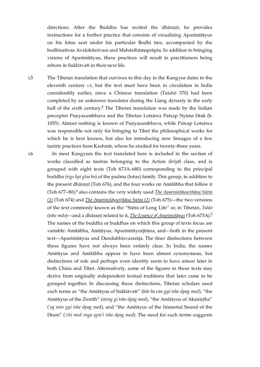directions. After the Buddha has recited the dhāraṇī, he provides instructions for a further practice that consists of visualizing Aparimitāyus on his lotus seat under his particular Bodhi tree, accompanied by the bodhisattvas Avalokiteśvara and Mahāsthāmaprāpta. In addition to bringing visions of Aparimitāyus, these practices will result in practitioners being reborn in Sukhāvatī in their next life.

<span id="page-8-0"></span>The Tibetan translation that survives to this day in the Kangyur dates to the eleventh century  $CE$ , but the text must have been in circulation in India considerably earlier, since a Chinese translation (Taishō 370) had been completed by an unknown translator during the Liang dynasty in the early half of the sixth century. $\frac{4}{7}$  $\frac{4}{7}$  $\frac{4}{7}$  The Tibetan translation was made by the Indian preceptor Puṇyasambhava and the Tibetan Lotsāwa Patsap Nyima Drak (b. 1055). Almost nothing is known of Puṇyasambhava, while Patsap Lotsāwa was responsible not only for bringing to Tibet the philosophical works for which he is best known, but also for introducing new lineages of a few tantric practices from Kashmir, where he studied for twenty-three years. [i.5](#page-8-0)

<span id="page-8-4"></span><span id="page-8-3"></span><span id="page-8-2"></span><span id="page-8-1"></span>In most Kangyurs the text translated here is included in the section of works classified as tantras belonging to the Action (*kriyā*) class, and is grouped with eight texts (Toh 673A–680) corresponding to the principal buddha (*rigs kyi gtso bo*) of the padma (lotus) family. This group, in addition to the present dhāraṇī (Toh 676), and the four works on Amitābha that follow it (Toh 677–80),<sup>6</sup> also contains the very widely used <u>The [Aparimitāyurjñāna](https://read.84000.co/translation/toh674.html) Sūtra</u> *(1)* (Toh 674) and *The [Aparimitāyurjñāna](https://read.84000.co/translation/toh675.html) Sūtra (2)* (Toh 675)—the two versions of the text commonly known as the "Sūtra of Long Life" or, in Tibetan, *Tsédo* (*tshe mdo*)—and a dhāraṇī related to it, *The Essence of [Aparimitāyus](https://read.84000.co/translation/toh673a.html)* (Toh 673A). [5](#page-15-6) The names of the buddha or buddhas on which this group of texts focus are variable: Amitābha, Amitāyus, Aparimitāyurjñāna, and—both in the present text—Aparimitāyus and Dundubhisvararāja. The finer distinctions between these figures have not always been entirely clear. In India, the names Amitāyus and Amitābha appear to have been almost synonymous, but distinctions of role and perhaps even identity seem to have arisen later in both China and Tibet. Alternatively, some of the figures in these texts may derive from originally independent textual traditions that later came to be grouped together. In discussing these distinctions, Tibetan scholars used such terms as "the Amitāyus of Sukhāvatī" (*bde ba can gyi tshe dpag med*), "the Amitāyus of the Zenith" (*steng gi tshe dpag med*), "the Amitāyus of Akaniṣṭha" (*'og min gyi tshe dpag med*), and "the Amitāyus of the Immortal Sound of the Drum" (*'chi med rnga sgra'i tshe dpag med*). The need for such terms suggests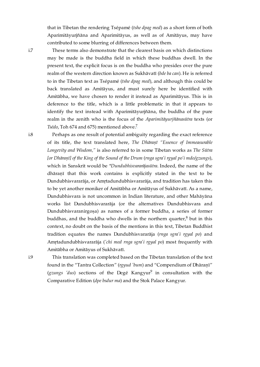that in Tibetan the rendering Tsépamé (*tshe dpag med*) as a short form of both Aparimitāyurjñāna and Aparimitāyus, as well as of Amitāyus, may have contributed to some blurring of differences between them.

<span id="page-9-0"></span>These terms also demonstrate that the clearest basis on which distinctions may be made is the buddha field in which these buddhas dwell. In the present text, the explicit focus is on the buddha who presides over the pure realm of the western direction known as Sukhāvatī (*bde ba can*). He is referred to in the Tibetan text as Tsépamé (*tshe dpag med*), and although this could be back translated as Amitāyus, and must surely here be identified with Amitābha, we have chosen to render it instead as Aparimitāyus. This is in deference to the title, which is a little problematic in that it appears to identify the text instead with Aparimitāyurjñāna, the buddha of the pure realm in the zenith who is the focus of the *Aparimitāyurjñānasūtra* texts (or *Tsédo*, Toh 674 and 675) mentioned above. [7](#page-16-0)

<span id="page-9-3"></span>Perhaps as one result of potential ambiguity regarding the exact reference of its title, the text translated here, *The Dhāraṇī "Essence of Immeasurable Longevity and Wisdom,"* is also referred to in some Tibetan works as *The Sūtra [or Dhāraṇī] of the King of the Sound of the Drum* (*rnga sgra'i rgyal po'i mdo/gzungs*), which in Sanskrit would be *\*Dundubhisvararājasūtra*. Indeed, the name of the dhāraṇī that this work contains is explicitly stated in the text to be Dundubhisvararāja, or Amṛtadundubhisvararāja, and tradition has taken this to be yet another moniker of Amitābha or Amitāyus of Sukhāvatī. As a name, Dundubhisvara is not uncommon in Indian literature, and other Mahāyāna works list Dundubhisvararāja (or the alternatives Dundubhisvara and Dundubhisvaranirgoṣa) as names of a former buddha, a series of former buddhas, and the buddha who dwells in the northern quarter, $\frac{8}{5}$  $\frac{8}{5}$  $\frac{8}{5}$  but in this context, no doubt on the basis of the mentions in this text, Tibetan Buddhist tradition equates the names Dundubhisvararāja (*rnga sgra'i rgyal po*) and Amṛtadundubhisvararāja (*'chi med rnga sgra'i rgyal po*) most frequently with Amitābha or Amitāyus of Sukhāvatī.

<span id="page-9-2"></span>[i.9](#page-9-2)

<span id="page-9-5"></span><span id="page-9-4"></span>This translation was completed based on the Tibetan translation of the text found in the "Tantra Collection" (*rgyud 'bum*) and "Compendium of Dhāraṇī" (gzungs 'dus) sections of the Degé Kangyur<sup>[9](#page-16-2)</sup> in consultation with the Comparative Edition (*dpe bsdur ma*) and the Stok Palace Kangyur.

<span id="page-9-1"></span>[i.8](#page-9-1)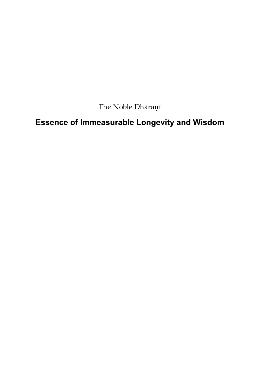The Noble Dhāraṇī

# <span id="page-10-0"></span>**Essence of Immeasurable Longevity and Wisdom**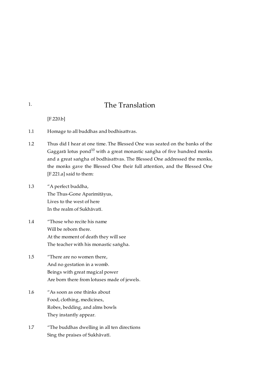## <span id="page-11-8"></span>The Translation

[\[F.220.b\]](https://translator:gzungs@read.84000-translate.org/source/toh676.html?ref-index=1#ajax-source)

- <span id="page-11-1"></span>Homage to all buddhas and bodhisattvas. [1.1](#page-11-1)
- <span id="page-11-2"></span>Thus did I hear at one time. The Blessed One was seated on the banks of the Gaggarā lotus pond $^{10}$  $^{10}$  $^{10}$  with a great monastic saṅgha of five hundred monks and a great saṅgha of bodhisattvas. The Blessed One addressed the monks, the monks gave the Blessed One their full attention, and the Blessed One [\[F.221.a\]](https://translator:gzungs@read.84000-translate.org/source/toh676.html?ref-index=2#ajax-source) said to them: [1.2](#page-11-2)
- <span id="page-11-3"></span>"A perfect buddha, The Thus-Gone Aparimitāyus, Lives to the west of here In the realm of Sukhāvatī. [1.3](#page-11-3)
- <span id="page-11-4"></span>"Those who recite his name Will be reborn there. At the moment of death they will see The teacher with his monastic saṅgha. [1.4](#page-11-4)
- <span id="page-11-5"></span>"There are no women there, And no gestation in a womb. Beings with great magical power Are born there from lotuses made of jewels. [1.5](#page-11-5)
- <span id="page-11-6"></span>"As soon as one thinks about Food, clothing, medicines, Robes, bedding, and alms bowls They instantly appear. [1.6](#page-11-6)
- <span id="page-11-7"></span>"The buddhas dwelling in all ten directions Sing the praises of Sukhāvatī. [1.7](#page-11-7)

<span id="page-11-0"></span>[1.](#page-11-0)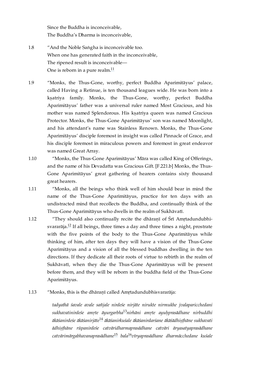<span id="page-12-6"></span>Since the Buddha is inconceivable, The Buddha's Dharma is inconceivable,

- <span id="page-12-0"></span>"And the Noble Saṅgha is inconceivable too. When one has generated faith in the inconceivable, The ripened result is inconceivable— One is reborn in a pure realm $\frac{11}{1}$  $\frac{11}{1}$  $\frac{11}{1}$ [1.8](#page-12-0)
- <span id="page-12-1"></span>"Monks, the Thus-Gone, worthy, perfect Buddha Aparimitāyus' palace, called Having a Retinue, is ten thousand leagues wide. He was born into a ksatriya family. Monks, the Thus-Gone, worthy, perfect Buddha Aparimitāyus' father was a universal ruler named Most Gracious, and his mother was named Splendorous. His kṣatriya queen was named Gracious Protector. Monks, the Thus-Gone Aparimitāyus' son was named Moonlight, and his attendant's name was Stainless Renown. Monks, the Thus-Gone Aparimitāyus' disciple foremost in insight was called Pinnacle of Grace, and his disciple foremost in miraculous powers and foremost in great endeavor was named Great Array. [1.9](#page-12-1)
- <span id="page-12-2"></span>"Monks, the Thus-Gone Aparimitāyus' Māra was called King of Offerings, and the name of his Devadatta was Gracious Gift. [\[F.221.b\]](https://translator:gzungs@read.84000-translate.org/source/toh676.html?ref-index=3#ajax-source) Monks, the Thus-Gone Aparimitāyus' great gathering of hearers contains sixty thousand great hearers. [1.10](#page-12-2)
- <span id="page-12-3"></span>"Monks, all the beings who think well of him should bear in mind the name of the Thus-Gone Aparimitāyus, practice for ten days with an undistracted mind that recollects the Buddha, and continually think of the Thus-Gone Aparimitāyus who dwells in the realm of Sukhāvatī. [1.11](#page-12-3)
- <span id="page-12-7"></span><span id="page-12-4"></span>"They should also continually recite the dhāraṇī of Śrī Amṛtadundubhi-svararāja.<sup>[12](#page-16-5)</sup> If all beings, three times a day and three times a night, prostrate with the five points of the body to the Thus-Gone Aparimitāyus while thinking of him, after ten days they will have a vision of the Thus-Gone Aparimitāyus and a vision of all the blessed buddhas dwelling in the ten directions. If they dedicate all their roots of virtue to rebirth in the realm of Sukhāvatī, when they die the Thus-Gone Aparimitāyus will be present before them, and they will be reborn in the buddha field of the Thus-Gone Aparimitāyus. [1.12](#page-12-4)

#### <span id="page-12-5"></span>"Monks, this is the dhāraṇī called Amṛtadundubhisvararāja: [1.13](#page-12-5)

<span id="page-12-11"></span><span id="page-12-10"></span><span id="page-12-9"></span><span id="page-12-8"></span>*tadyathā śavale avale sañjale nirdeśe nirjāte nirukte nirmukhe jvalaparicchedani sukhavatinirdeśe amṛte āyurgarbha nirhāni amṛte ayuḥprasādhane nirbuddhi* [13](#page-16-6) *ākāśanirdeśe ākāśanirjāte* $^{14}$  $^{14}$  $^{14}$  *ākāśanirkuśale ākāśanirdarśane ākāśādhiṣṭhāne sukhavati ādhiṣṭhāne rūpanirdeśe catvāridharmaprasādhane catvāri āryasatyaprasādhane* catvārimārgabhavanaprasādhane<sup>[15](#page-16-8)</sup> bala<sup>[16](#page-17-0)</sup>vīryaprasādhane dharmācchedane kuśale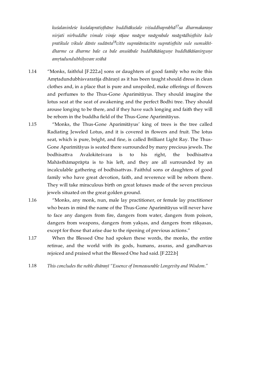<span id="page-13-6"></span><span id="page-13-5"></span>*kuśalanirdeśe kuśalapratiṣṭhāne buddhākuśale viśuddhaprabhā sa dharmakaraṇe* [17](#page-17-1) *nirjati nirbuddhe vimale viraje rājase rasāgre rasāgrabale rasāgrādhiṣṭhite kule pratikule vikule dānte sudānta citte supraśāntacitte supratiṣṭhite sule sumukhī-*[18](#page-17-2) *dharme ca dharme bale ca bale anuśābale buddhākāśaguṇe buddhākāśanirguṇe amṛtadundubhiḥsvare svāhā*

- <span id="page-13-0"></span>"Monks, faithful [\[F.222.a\]](https://translator:gzungs@read.84000-translate.org/source/toh676.html?ref-index=4#ajax-source) sons or daughters of good family who recite this Amṛtadundubhisvararāja dhāraṇī as it has been taught should dress in clean clothes and, in a place that is pure and unspoiled, make offerings of flowers and perfumes to the Thus-Gone Aparimitāyus. They should imagine the lotus seat at the seat of awakening and the perfect Bodhi tree. They should arouse longing to be there, and if they have such longing and faith they will be reborn in the buddha field of the Thus-Gone Aparimitāyus. [1.14](#page-13-0)
- <span id="page-13-1"></span>"Monks, the Thus-Gone Aparimitāyus' king of trees is the tree called Radiating Jeweled Lotus, and it is covered in flowers and fruit. The lotus seat, which is pure, bright, and fine, is called Brilliant Light Ray. The Thus-Gone Aparimitāyus is seated there surrounded by many precious jewels. The bodhisattva Avalokiteśvara is to his right, the bodhisattva Mahāsthāmaprāpta is to his left, and they are all surrounded by an incalculable gathering of bodhisattvas. Faithful sons or daughters of good family who have great devotion, faith, and reverence will be reborn there. They will take miraculous birth on great lotuses made of the seven precious jewels situated on the great golden ground. [1.15](#page-13-1)
- <span id="page-13-2"></span>"Monks, any monk, nun, male lay practitioner, or female lay practitioner who bears in mind the name of the Thus-Gone Aparimitāyus will never have to face any dangers from fire, dangers from water, dangers from poison, dangers from weapons, dangers from yaksas, and dangers from rāksasas, except for those that arise due to the ripening of previous actions." [1.16](#page-13-2)
- <span id="page-13-3"></span>When the Blessed One had spoken these words, the monks, the entire retinue, and the world with its gods, humans, asuras, and gandharvas rejoiced and praised what the Blessed One had said. [\[F.222.b\]](https://translator:gzungs@read.84000-translate.org/source/toh676.html?ref-index=5#ajax-source) [1.17](#page-13-3)
- <span id="page-13-4"></span>*This concludes the noble dhāraṇī "Essence of Immeasurable Longevity and Wisdom."* [1.18](#page-13-4)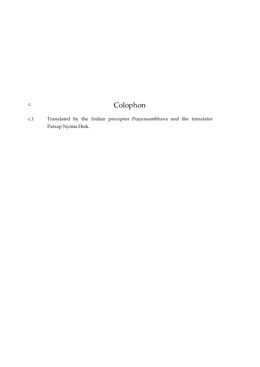# Colophon

<span id="page-14-1"></span>Translated by the Indian preceptor Puṇyasambhava and the translator Patsap Nyima Drak. [c.1](#page-14-1)

<span id="page-14-0"></span>[c.](#page-14-0)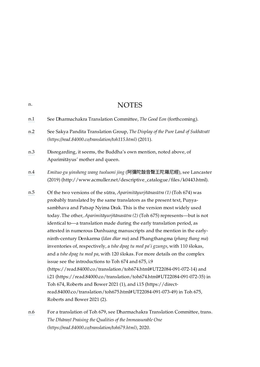<span id="page-15-6"></span><span id="page-15-4"></span><span id="page-15-3"></span><span id="page-15-2"></span><span id="page-15-1"></span>

|     | <b>INVIED</b>                                                                                                                                                                                                                                                                                                                                                                                                                                                                                                                                                                                                                                                                                                                                                                                                                                                                                                                                                                                                                                                                                            |
|-----|----------------------------------------------------------------------------------------------------------------------------------------------------------------------------------------------------------------------------------------------------------------------------------------------------------------------------------------------------------------------------------------------------------------------------------------------------------------------------------------------------------------------------------------------------------------------------------------------------------------------------------------------------------------------------------------------------------------------------------------------------------------------------------------------------------------------------------------------------------------------------------------------------------------------------------------------------------------------------------------------------------------------------------------------------------------------------------------------------------|
| n.1 | See Dharmachakra Translation Committee, The Good Eon (forthcoming).                                                                                                                                                                                                                                                                                                                                                                                                                                                                                                                                                                                                                                                                                                                                                                                                                                                                                                                                                                                                                                      |
| n.2 | See Sakya Pandita Translation Group, The Display of the Pure Land of Sukhāvatī<br>(https://read.84000.co/translation/toh115.html) (2011).                                                                                                                                                                                                                                                                                                                                                                                                                                                                                                                                                                                                                                                                                                                                                                                                                                                                                                                                                                |
| n.3 | Disregarding, it seems, the Buddha's own mention, noted above, of<br>Aparimitāyus' mother and queen.                                                                                                                                                                                                                                                                                                                                                                                                                                                                                                                                                                                                                                                                                                                                                                                                                                                                                                                                                                                                     |
| n.4 | Emituo gu yinsheng wang tuoluoni jing (阿彌陀鼓音聲王陀羅尼經), see Lancaster<br>(2019) (http://www.acmuller.net/descriptive_catalogue/files/k0443.html).                                                                                                                                                                                                                                                                                                                                                                                                                                                                                                                                                                                                                                                                                                                                                                                                                                                                                                                                                           |
| n.5 | Of the two versions of the sūtra, Aparimitāyurjñānasūtra (1) (Toh 674) was<br>probably translated by the same translators as the present text, Punya-<br>sambhava and Patsap Nyima Drak. This is the version most widely used<br>today. The other, Aparimitāyurjñānasūtra (2) (Toh 675) represents—but is not<br>identical to—a translation made during the early translation period, as<br>attested in numerous Dunhuang manuscripts and the mention in the early-<br>ninth-century Denkarma (Idan dkar ma) and Phangthangma (phang thang ma)<br>inventories of, respectively, a tshe dpag tu med pa'i gzungs, with 110 ślokas,<br>and a tshe dpag tu med pa, with 120 ślokas. For more details on the complex<br>issue see the introductions to Toh 674 and 675, i.9<br>(https://read.84000.co/translation/toh674.html#UT22084-091-072-14) and<br>i.21 (https://read.84000.co/translation/toh674.html#UT22084-091-072-35) in<br>Toh 674, Roberts and Bower 2021 (1), and i.15 (https://direct-<br>read.84000.co/translation/toh675.html#UT22084-091-073-49) in Toh 675,<br>Roberts and Bower 2021 (2). |
|     |                                                                                                                                                                                                                                                                                                                                                                                                                                                                                                                                                                                                                                                                                                                                                                                                                                                                                                                                                                                                                                                                                                          |

<span id="page-15-5"></span>[n.6](#page-8-4) For a translation of Toh 679, see Dharmachakra Translation Committee, trans. *The Dhāraṇī Praising the Qualities of the Immeasurable One [\(https://read.84000.co/translation/toh679.html\)](https://read.84000.co/translation/toh679.html)*, 2020.

<span id="page-15-0"></span>[n.](#page-15-0)

# **NOTES**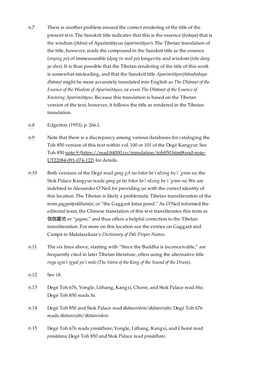- <span id="page-16-0"></span>[n.7](#page-9-3) There is another problem around the correct rendering of the title of the present text. The Sanskrit title indicates that this is the essence (*hṛdaya*) that is the wisdom (*jñāna*) of Aparimitāyus (*aparimitāyur*). The Tibetan translation of the title, however, reads the compound in the Sanskrit title as the essence (*snying po*) of immeasurable (*dpag tu med pa*) longevity and wisdom (*tshe dang ye shes*). It is thus possible that the Tibetan rendering of the title of this work is somewhat misleading, and that the Sanskrit title *Aparimitāyurjñānahṛdayadhāraṇī* might be more accurately translated into English as *The Dhāraṇī of the Essence of the Wisdom of Aparimitāyus*, or even *The Dhāraṇī of the Essence of Knowing Aparimitāyus*. Because this translation is based on the Tibetan version of the text, however, it follows the title as rendered in the Tibetan translation.
- <span id="page-16-1"></span>[n.8](#page-9-4) Edgerton (1953), p. 266.1.
- <span id="page-16-2"></span>[n.9](#page-9-5) Note that there is a discrepancy among various databases for cataloging the Toh 850 version of this text within vol. 100 or 101 of the Degé Kangyur. See Toh 850 note 9 [\(https://read.84000.co/translation/toh850.html#end-note-](https://read.84000.co/translation/toh850.html#end-note-UT22084-091-074-122)UT22084-091-074-122) for details.
- <span id="page-16-3"></span>[n.10](#page-11-8) Both versions of the Degé read *gang gA tas bskor ba'i rdzing bu'i 'gram na*; the Stok Palace Kangyur reads *gang ga tas bskor ba'i rdzing bu'i 'gram na*. We are indebted to Alexander O'Neil for providing us with the correct identity of this location. The Tibetan is likely a problematic Tibetan transliteration of the term *gaggarāpokkharaṇī*, or "the Gaggarā lotus pond." As O'Neil informed the editorial team, the Chinese translation of this text transliterates this term as 伽伽靈池 or "*gagara*," and thus offers a helpful correction to the Tibetan transliteration. For more on this location see the entries on Gaggarā and Campā in Malalasekara's *Dictionary of Pāli Proper Names*.
- <span id="page-16-4"></span>[n.11](#page-12-6) The six lines above, starting with "Since the Buddha is inconceivable," are frequently cited in later Tibetan literature, often using the alternative title *rnga sgra'i rgyal po'i mdo* (*The Sūtra of the King of the Sound of the Drum*).
- <span id="page-16-5"></span>[n.12](#page-12-7) See [i.8.](#page-9-1)
- <span id="page-16-6"></span>[n.13](#page-12-8) Degé Toh 676, Yongle, Lithang, Kangxi, Choné, and Stok Palace read *bha*; Degé Toh 850 reads *ba*.
- <span id="page-16-7"></span>[n.14](#page-12-9) Degé Toh 850 and Stok Palace read *ākāśanirdeśe/ ākāśanirjāte*; Degé Toh 676 reads *ākāśanirjāte/ ākāśanirdeśe*.
- <span id="page-16-8"></span>[n.15](#page-12-10) Degé Toh 676 reads *prasādhane*; Yongle, Lithang, Kangxi, and Choné read *prasādana*; Degé Toh 850 and Stok Palace read *prasādhani*.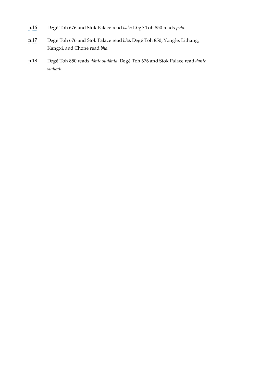- <span id="page-17-0"></span>[n.16](#page-12-11) Degé Toh 676 and Stok Palace read *bala*; Degé Toh 850 reads *pala*.
- <span id="page-17-1"></span>[n.17](#page-13-5) Degé Toh 676 and Stok Palace read *bhā*; Degé Toh 850, Yongle, Lithang, Kangxi, and Choné read *bha*.
- <span id="page-17-2"></span>[n.18](#page-13-6) Degé Toh 850 reads *dānte sudānta*; Degé Toh 676 and Stok Palace read *dante sudante*.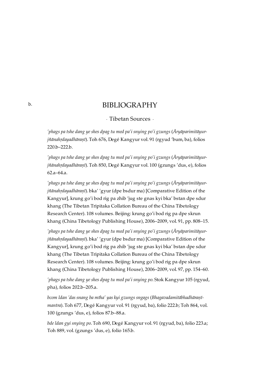### BIBLIOGRAPHY

· Tibetan Sources ·

*'phags pa tshe dang ye shes dpag tu med pa'i snying po'i gzungs* (*Āryāparimitāyurjñānahṛdayadhāraṇī*). Toh 676, Degé Kangyur vol. 91 (rgyud 'bum, ba), folios 220.b–222.b.

*'phags pa tshe dang ye shes dpag tu med pa'i snying po'i gzungs* (*Āryāparimitāyurjñānahṛdayadhāraṇī*). Toh 850, Degé Kangyur vol. 100 (gzungs 'dus, e), folios 62.a–64.a.

*'phags pa tshe dang ye shes dpag tu med pa'i snying po'i gzungs* (*Āryāparimitāyurjñānahṛdayadhāraṇī*). bka' 'gyur (dpe bsdur ma) [Comparative Edition of the Kangyur], krung go'i bod rig pa zhib 'jug ste gnas kyi bka' bstan dpe sdur khang (The Tibetan Tripitaka Collation Bureau of the China Tibetology Research Center). 108 volumes. Beijing: krung go'i bod rig pa dpe skrun khang (China Tibetology Publishing House), 2006–2009, vol. 91, pp. 808–15.

*'phags pa tshe dang ye shes dpag tu med pa'i snying po'i gzungs* (*Āryāparimitāyurjñānahṛdayadhāraṇī*). bka' 'gyur (dpe bsdur ma) [Comparative Edition of the Kangyur], krung go'i bod rig pa zhib 'jug ste gnas kyi bka' bstan dpe sdur khang (The Tibetan Tripitaka Collation Bureau of the China Tibetology Research Center). 108 volumes. Beijing: krung go'i bod rig pa dpe skrun khang (China Tibetology Publishing House), 2006–2009, vol. 97, pp. 154–60.

*'phags pa tshe dang ye shes dpag tu med pa'i snying po*. Stok Kangyur 105 (rgyud, pha), folios 202.b–205.a.

*bcom ldan 'das snang ba mtha' yas kyi gzungs sngags* (*Bhagavadamitābhadhāraṇīmantra*). Toh 677, Degé Kangyur vol. 91 (rgyud, ba), folio 222.b; Toh 864, vol. 100 (gzungs 'dus, e), folios 87.b–88.a.

*bde ldan gyi snying po*. Toh 690, Degé Kangyur vol. 91 (rgyud, ba), folio 223.a; Toh 889, vol. (gzungs 'dus, e), folio 165.b.

<span id="page-18-1"></span><span id="page-18-0"></span>[b.](#page-18-0)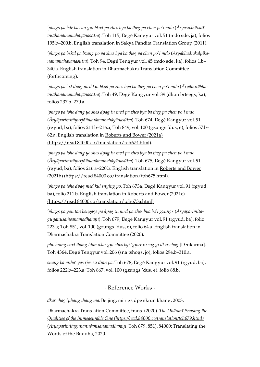*'phags pa bde ba can gyi bkod pa zhes bya ba theg pa chen po'i mdo* (*Āryasukhāvatīvyūhanāmamahāyānasūtra*). Toh 115, Degé Kangyur vol. 51 (mdo sde, ja), folios 195.b–200.b. English translation in Sakya Pandita Translation Group (2011).

*'phags pa bskal pa bzang po pa zhes bya ba theg pa chen po'i mdo* (*Āryabhadrakalpikanāmamahāyānasūtra*). Toh 94, Degé Tengyur vol. 45 (mdo sde, ka), folios 1.b– 340.a. English translation in Dharmachakra Translation Committee (forthcoming).

*'phags pa 'od dpag med kyi bkod pa zhes bya ba theg pa chen po'i mdo* (*Āryāmitābhavyūhanāmamahāyānasūtra*). Toh 49, Degé Kangyur vol. 39 (dkon brtsegs, ka), folios 237.b–270.a.

*'phags pa tshe dang ye shes dpag tu med pa zhes bya ba theg pa chen po'i mdo* (*Āryāparimitāyurjñānanāmamahāyānasūtra*). Toh 674, Degé Kangyur vol. 91 (rgyud, ba), folios 211.b–216.a; Toh 849, vol. 100 (gzungs 'dus, e), folios 57.b– 62.a. English translation in Roberts and Bower (2021a) [\(https://read.84000.co/translation/toh674.html\).](https://read.84000.co/translation/toh674.html)

*'phags pa tshe dang ye shes dpag tu med pa zhes bya ba theg pa chen po'i mdo* (*Āryāparimitāyurjñānanāmamahāyānasūtra*). Toh 675, Degé Kangyur vol. 91 (rgyud, ba), folios 216.a–220.b. English translation in Roberts and Bower (2021b) [\(https://read.84000.co/translation/toh675.html\).](https://read.84000.co/translation/toh675.html)

*'phags pa tshe dpag med kyi snying po*. Toh 673a, Degé Kangyur vol. 91 (rgyud, ba), folio 211.b. English translation in Roberts and Bower (2021c) [\(https://read.84000.co/translation/toh673a.html\)](https://read.84000.co/translation/toh673a.html)

*'phags pa yon tan bsngags pa dpag tu med pa zhes bya ba'i gzungs* (*Āryāparimitaguṇānuśāṁsanāmadhāraṇī*). Toh 679, Degé Kangyur vol. 91 (rgyud, ba), folio 223.a; Toh 851, vol. 100 (gzungs 'dus, e), folio 64.a. English translation in Dharmachakra Translation Committee (2020).

*pho brang stod thang ldan dkar gyi chos kyi 'gyur ro cog gi dkar chag* [Denkarma]. Toh 4364, Degé Tengyur vol. 206 (sna tshogs, jo), folios 294.b–310.a.

*snang ba mtha' yas rjes su dran pa*. Toh 678, Degé Kangyur vol. 91 (rgyud, ba), folios 222.b–223.a; Toh 867, vol. 100 (gzungs 'dus, e), folio 88.b.

· Reference Works ·

<span id="page-19-0"></span>*dkar chag 'phang thang ma*. Beijing: mi rigs dpe skrun khang, 2003.

Dharmachakra Translation Committee, trans. (2020). *The Dhāraṇī Praising the Qualities of the Immeasurable One [\(https://read.84000.co/translation/toh679.html\)](https://read.84000.co/translation/toh679.html)* (*Āryāparimitaguṇānuśāṁsanāmadhāraṇī*, Toh 679, 851). 84000: Translating the Words of the Buddha, 2020.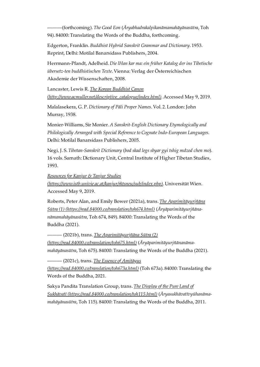———(forthcoming). *The Good Eon* (*Āryabhadrakalpikanāmamahāyānasūtra*, Toh 94). 84000: Translating the Words of the Buddha, forthcoming.

Edgerton, Franklin. *Buddhist Hybrid Sanskrit Grammar and Dictionary*. 1953. Reprint, Delhi: Motilal Banarsidass Publishers, 2004.

Herrmann-Pfandt, Adelheid. *Die lHan kar ma: ein früher Katalog der ins Tibetische übersetz-ten buddhistischen Texte*. Vienna: Verlag der Österreichischen Akademie der Wissenschaften, 2008.

Lancaster, Lewis R. *The Korean Buddhist Canon [\(http://www.acmuller.net/descriptive\\_catalogue/index.html\)](http://www.acmuller.net/descriptive_catalogue/index.html)*. Accessed May 9, 2019.

Malalasekera, G. P. *Dictionary of Pāli Proper Names*. Vol. 2. London: John Murray, 1938.

Monier-Williams, Sir Monier. *A Sanskrit-English Dictionary Etymologically and Philologically Arranged with Special Reference to Cognate Indo-European Languages*. Delhi: Motilal Banarsidass Publishers, 2005.

Negi, J. S. *Tibetan-Sanskrit Dictionary* (*bod skad legs sbyar gyi tshig mdzod chen mo*). 16 vols. Sarnath: Dictionary Unit, Central Institute of Higher Tibetan Studies, 1993.

*Resources for Kanjur & Tanjur Studies*

*[\(https://www.istb.univie.ac.at/kanjur/rktsneu/sub/index.php\)](https://www.istb.univie.ac.at/kanjur/rktsneu/sub/index.php)*. Universität Wien. Accessed May 9, 2019.

Roberts, Peter Alan, and Emily Bower (2021a), trans. *The Aparimitāyurjñāna Sūtra (1) [\(https://read.84000.co/translation/toh674.html\)](https://read.84000.co/translation/toh674.html)* (*Āryāparimitāyurjñānanāmamahāyānasūtra*, Toh 674, 849). 84000: Translating the Words of the Buddha (2021).

——— (2021b), trans. *The Aparimitāyurjñāna Sūtra (2) [\(https://read.84000.co/translation/toh675.html\)](https://read.84000.co/translation/toh675.html)* (*Āryāparimitāyurjñānanāmamahāyānasūtra*, Toh 675). 84000: Translating the Words of the Buddha (2021).

——— (2021c), trans. *The Essence of Amitāyus*

*[\(https://read.84000.co/translation/toh673a.html\)](https://read.84000.co/translation/toh673a.html)* (Toh 673a). 84000: Translating the Words of the Buddha, 2021.

Sakya Pandita Translation Group, trans. *The Display of the Pure Land of Sukhāvatī [\(https://read.84000.co/translation/toh115.html\)](https://read.84000.co/translation/toh115.html)* (*Āryasukhāvatīvyūhanāmamahāyānasūtra*, Toh 115). 84000: Translating the Words of the Buddha, 2011.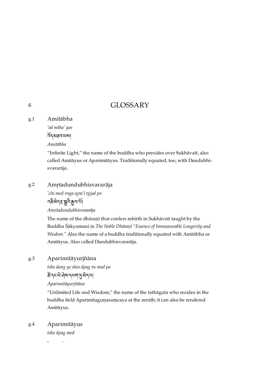## GLOSSARY

#### <span id="page-21-1"></span>Amitābha [g.1](#page-21-1)

*'od mtha' yas*

ད་མཐའ་ཡས།

*Amitābha*

"Infinite Light," the name of the buddha who presides over Sukhāvatī, also called Amitāyus or Aparimitāyus. Traditionally equated, too, with Dundubhisvararāja.

#### <span id="page-21-2"></span>Amṛtadundubhisvararāja [g.2](#page-21-2)

*'chi med rnga sgra'i rgyal po* <u>ব</u>ক্টর্নযুদ্ধ মুন্দি ক্রুন্স শ্রী *Amṛtadundubhisvararāja*

The name of the dhāraṇī that confers rebirth in Sukhāvatī taught by the Buddha Śākyamuni in *The Noble Dhāraṇī "Essence of Immeasurable Longevity and Wisdom."* Also the name of a buddha traditionally equated with Amitābha or Amitāyus. Also called Dundubhisvararāja.

### <span id="page-21-3"></span>Aparimitāyurjñāna [g.3](#page-21-3)

*tshe dang ye shes dpag tu med pa*

कें द्रव्ये मेया द्वया पुरुषे द्वा

*Aparimitāyurjñāna*

"Unlimited Life and Wisdom," the name of the tathāgata who resides in the buddha field Aparimitaguṇasaṃcaya at the zenith; it can also be rendered Amitāyus.

### <span id="page-21-4"></span>Aparimitāyus [g.4](#page-21-4)

*tshe dpag med*

<span id="page-21-0"></span>[g.](#page-21-0)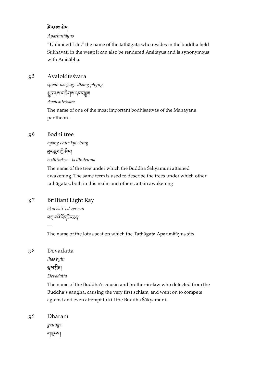### केंदराया अेद।

### *Aparimitāyus*

"Unlimited Life," the name of the tathāgata who resides in the buddha field Sukhāvatī in the west; it can also be rendered Amitāyus and is synonymous with Amitābha.

### <span id="page-22-0"></span>Avalokiteśvara [g.5](#page-22-0)

*spyan ras gzigs dbang phyug*

## ষ্ণুৰ্ব্ব্ব্য্যান্মীৰামান্নব্দ্ৰ্ভ্ৰূ

*Avalokiteśvara*

The name of one of the most important bodhisattvas of the Mahāyāna pantheon.

### <span id="page-22-1"></span>Bodhi tree [g.6](#page-22-1)

*byang chub kyi shing* হুনক্কুন'ট্র' দ্বীনা *bodhivṛkṣa · bodhidruma*

The name of the tree under which the Buddha Śākyamuni attained awakening. The same term is used to describe the trees under which other tathāgatas, both in this realm and others, attain awakening.

<span id="page-22-2"></span>Brilliant Light Ray [g.7](#page-22-2)

> *bkra ba'i 'od zer can* ব্যা বন্দির্বির উর্য

The name of the lotus seat on which the Tathāgata Aparimitāyus sits.

### <span id="page-22-3"></span>Devadatta [g.8](#page-22-3)

*—*

*lhas byin*

### থুম'ট্টৰা

*Devadatta*

The name of the Buddha's cousin and brother-in-law who defected from the Buddha's saṅgha, causing the very first schism, and went on to compete against and even attempt to kill the Buddha Śākyamuni.

### <span id="page-22-4"></span>Dhāraṇī [g.9](#page-22-4)

*gzungs* শৱৃৎমা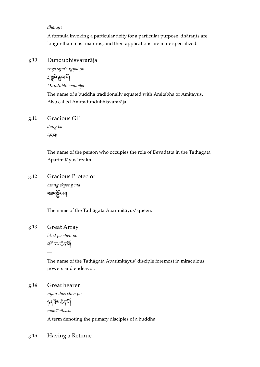### *dhāraṇī*

A formula invoking a particular deity for a particular purpose; dhāraṇīs are longer than most mantras, and their applications are more specialized.

### <span id="page-23-0"></span>Dundubhisvararāja [g.10](#page-23-0)

*rnga sgra'i rgyal po* ৼৠৢ৻ৼৣ৸ৣ৸

*Dundubhisvararāja*

The name of a buddha traditionally equated with Amitābha or Amitāyus. Also called Amṛtadundubhisvararāja.

### <span id="page-23-1"></span>Gracious Gift [g.11](#page-23-1)

*dang ba* དང་བ། *—*

The name of the person who occupies the role of Devadatta in the Tathāgata Aparimitāyus' realm.

### <span id="page-23-2"></span>Gracious Protector [g.12](#page-23-2)

*bzang skyong ma* བཟང་ང་མ།

The name of the Tathāgata Aparimitāyus' queen.

### <span id="page-23-3"></span>Great Array [g.13](#page-23-3)

*—*

*—*

*bkod pa chen po* নৰ্শিন্দ্ৰ উৰ্মি

The name of the Tathāgata Aparimitāyus' disciple foremost in miraculous powers and endeavor.

### <span id="page-23-4"></span>Great hearer [g.14](#page-23-4)

*nyan thos chen po* ཉན་ས་ན་། *mahāśrāvaka*

A term denoting the primary disciples of a buddha.

### <span id="page-23-5"></span>Having a Retinue [g.15](#page-23-5)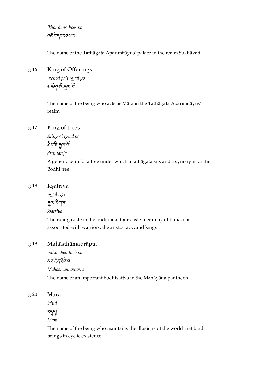*'khor dang bcas pa* འར་དང་བཅས་པ།

The name of the Tathāgata Aparimitāyus' palace in the realm Sukhāvatī.

### <span id="page-24-0"></span>King of Offerings [g.16](#page-24-0)

*—*

*mchod pa'i rgyal po* <u>য়৳ৼ৻ড়ৢ৻ড়ৢ৻ড়ৢ৻ড়ৢ৻ড়ৢ</u>

The name of the being who acts as Māra in the Tathāgata Aparimitāyus' realm.

#### <span id="page-24-1"></span>King of trees [g.17](#page-24-1)

*—*

*shing gi rgyal po* ধ্যায়ন্দ্ৰ

*drumarāja*

A generic term for a tree under which a tathāgata sits and a synonym for the Bodhi tree.

### <span id="page-24-2"></span>Kṣatriya [g.18](#page-24-2)

*rgyal rigs* ক্রুন্মাইন্মৰা *kṣatriya*

The ruling caste in the traditional four-caste hierarchy of India, it is associated with warriors, the aristocracy, and kings.

#### <span id="page-24-3"></span>Mahāsthāmaprāpta [g.19](#page-24-3)

*mthu chen thob pa*

ময়ুক্কবর্ষনমা

*Mahāsthāmaprāpta*

The name of an important bodhisattva in the Mahāyāna pantheon.

<span id="page-24-4"></span>Māra [g.20](#page-24-4)

*bdud*

 $551$ 

*Māra*

The name of the being who maintains the illusions of the world that bind beings in cyclic existence.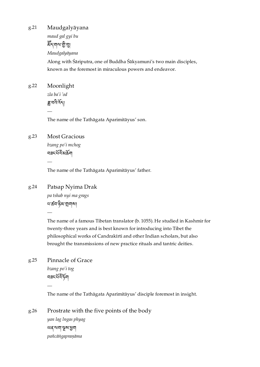<span id="page-25-0"></span>Maudgalyāyana [g.21](#page-25-0)

> *maud gal gyi bu* ৰ্ষ্টিশ্বাম্মণ্টিশ্বা *Maudgalyāyana* Along with Śāriputra, one of Buddha Śākyamuni's two main disciples, known as the foremost in miraculous powers and endeavor.

<span id="page-25-1"></span>Moonlight *zla ba'i 'od* ङ्गा वर्दे देन। [g.22](#page-25-1)

*—*

The name of the Tathāgata Aparimitāyus' son.

### <span id="page-25-2"></span>Most Gracious [g.23](#page-25-2)

*—*

*—*

*bzang po'i mchog* নৱমৰ্থিক মু

The name of the Tathāgata Aparimitāyus' father.

<span id="page-25-3"></span>Patsap Nyima Drak *pa tshab nyi ma grags* ধার্ক্রবাণ্ট্রমান্ত্রামা [g.24](#page-25-3)

> The name of a famous Tibetan translator (b. 1055). He studied in Kashmir for twenty-three years and is best known for introducing into Tibet the philosophical works of Candrakīrti and other Indian scholars, but also brought the transmissions of new practice rituals and tantric deities.

### <span id="page-25-4"></span>Pinnacle of Grace [g.25](#page-25-4)

*bzang po'i tog* ঘੜ<উন্নী

*—*

The name of the Tathāgata Aparimitāyus' disciple foremost in insight.

<span id="page-25-5"></span>Prostrate with the five points of the body *yan lag lngas phyag* ཡན་ལག་ས་ག *pañcāṅgapraṇāma* [g.26](#page-25-5)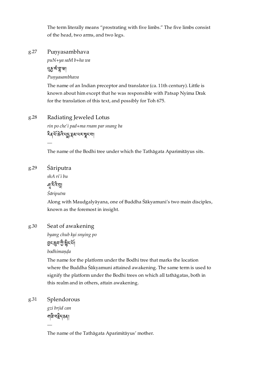The term literally means "prostrating with five limbs." The five limbs consist of the head, two arms, and two legs.

### <span id="page-26-0"></span>Punyasambhava [g.27](#page-26-0)

*puN+ya saM b+ha wa*

<u>ধ</u>ছ শুভ্লা না

*Puṇyasambhava*

The name of an Indian preceptor and translator (ca. 11th century). Little is known about him except that he was responsible with Patsap Nyima Drak for the translation of this text, and possibly for Toh 675.

### <span id="page-26-1"></span>Radiating Jeweled Lotus [g.28](#page-26-1)

*rin po che'i pad+ma rnam par snang ba* दैव ये बे यू राज्य सूर या

The name of the Bodhi tree under which the Tathāgata Aparimitāyus sits.

#### <span id="page-26-2"></span>Śāriputra [g.29](#page-26-2)

*—*

*shA ri'i bu* ৸ুঁషর্ম

*Śāriputra*

Along with Maudgalyāyana, one of Buddha Śākyamuni's two main disciples, known as the foremost in insight.

### <span id="page-26-3"></span>Seat of awakening [g.30](#page-26-3)

*byang chub kyi snying po*

হাংস্কৃন ট্ৰাক্ট্ৰিংশ।

*bodhimaṇḍa*

The name for the platform under the Bodhi tree that marks the location where the Buddha Śākyamuni attained awakening. The same term is used to signify the platform under the Bodhi trees on which all tathāgatas, both in this realm and in others, attain awakening.

### <span id="page-26-4"></span>Splendorous [g.31](#page-26-4)

*—*

*gzi brjid can* ন্মৰ নইন্ডৰা

The name of the Tathāgata Aparimitāyus' mother.